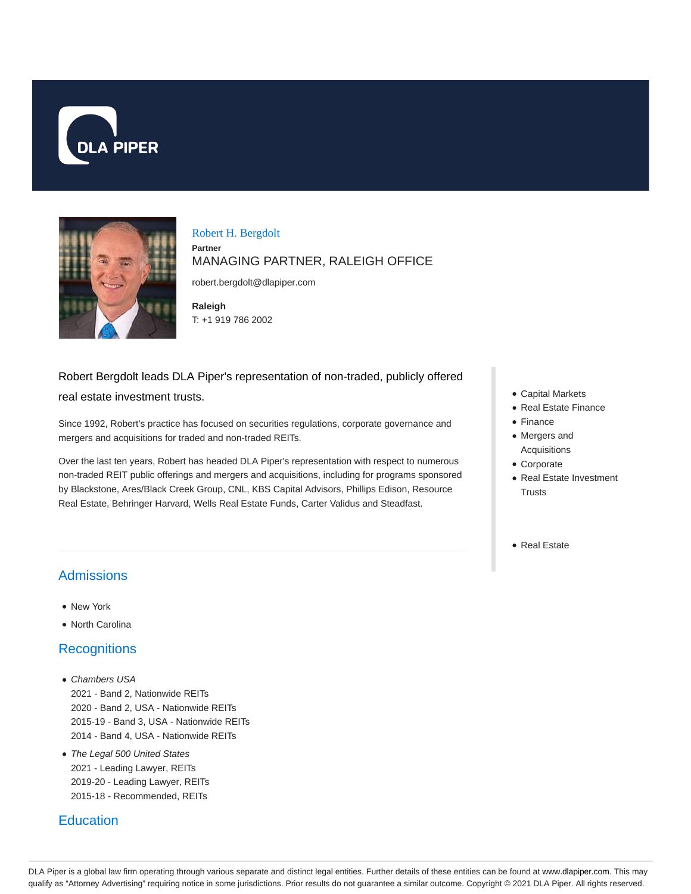



#### Robert H. Bergdolt

#### **Partner** MANAGING PARTNER, RALEIGH OFFICE

robert.bergdolt@dlapiper.com

**Raleigh** T: +1 919 786 2002

# Robert Bergdolt leads DLA Piper's representation of non-traded, publicly offered real estate investment trusts.

Since 1992, Robert's practice has focused on securities regulations, corporate governance and mergers and acquisitions for traded and non-traded REITs.

Over the last ten years, Robert has headed DLA Piper's representation with respect to numerous non-traded REIT public offerings and mergers and acquisitions, including for programs sponsored by Blackstone, Ares/Black Creek Group, CNL, KBS Capital Advisors, Phillips Edison, Resource Real Estate, Behringer Harvard, Wells Real Estate Funds, Carter Validus and Steadfast.

- Capital Markets
- Real Estate Finance
- Finance
- Mergers and Acquisitions
- Corporate
- Real Estate Investment **Trusts**
- Real Estate

# Admissions

- New York
- North Carolina

### **Recognitions**

- Chambers USA 2021 - Band 2, Nationwide REITs 2020 - Band 2, USA - Nationwide REITs 2015-19 - Band 3, USA - Nationwide REITs 2014 - Band 4, USA - Nationwide REITs
- The Legal 500 United States 2021 - Leading Lawyer, REITs 2019-20 - Leading Lawyer, REITs 2015-18 - Recommended, REITs

# **Education**

DLA Piper is a global law firm operating through various separate and distinct legal entities. Further details of these entities can be found at www.dlapiper.com. This may qualify as "Attorney Advertising" requiring notice in some jurisdictions. Prior results do not guarantee a similar outcome. Copyright @ 2021 DLA Piper. All rights reserved.